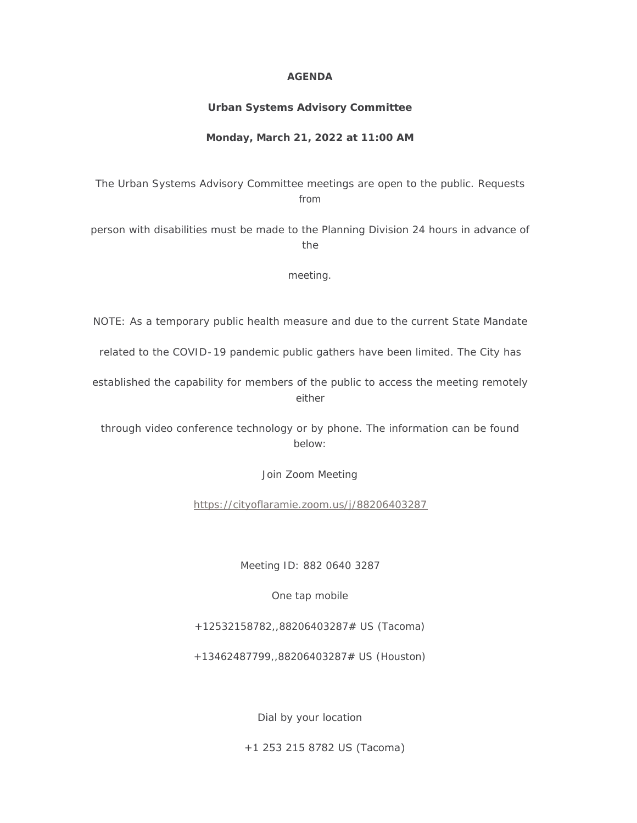### **AGENDA**

# **Urban Systems Advisory Committee**

# **Monday, March 21, 2022 at 11:00 AM**

The Urban Systems Advisory Committee meetings are open to the public. Requests from

person with disabilities must be made to the Planning Division 24 hours in advance of the

meeting.

NOTE: As a temporary public health measure and due to the current State Mandate

related to the COVID-19 pandemic public gathers have been limited. The City has

established the capability for members of the public to access the meeting remotely either

through video conference technology or by phone. The information can be found below:

Join Zoom Meeting

<https://cityoflaramie.zoom.us/j/88206403287>

Meeting ID: 882 0640 3287

One tap mobile

+12532158782,,88206403287# US (Tacoma)

+13462487799,,88206403287# US (Houston)

Dial by your location

+1 253 215 8782 US (Tacoma)